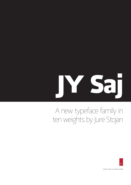# **JY Saj**

# A new typeface family in ten weights by Jure Stojan



JACK YAN & ASSOCIAES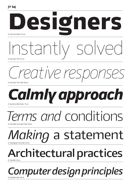#### **JY Saj**



*Creative responses*

JY Saj Ultra Thin Italic 86 pt

*Calmly approach* JY Saj Extra Bold Italic 72 pt

## *Prms and conditions* JY Saj Light and Light Italic 68 pt

### *Making* a statement JY Saj Regular and Italic 64 pt

### **Architectural practices** JY Saj Bold 54 pt

*Computer design principles* JY Saj Bold Italic 48 pt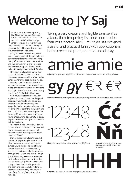# **Welcome to JY Saj**

n 2001, Jure Stojan completed JY Raj (Slovenian for *paradise*), and it has been a distinctive sans serif family in the JY&A Fonts range since. However, Jure felt that the original design had dated, although it remained incredibly practical and legible, especially at small sizes. I

JY Saj is an evolution of Raj, where Jure removed some of the original's less conventional features, while retaining many of its most artistic ones, such as the two-part roman *g*, and its scriptlike italic counterpart. The tail on the italic *y* flicks rightward in both families.

The result is a typeface family that successfully balances the artistic and the conventional—and it's often in that tension where the best designs reside.

In many creative endeavours, the way-out experiments can be considered a step too far; but when some restraint is brought into the process, true beauty emerges. JY Saj finds that balance.

As a result, the family has a wider application. Happily, Jure has designed additional weights to take advantage of this newfound practicality. No longer limited to regular and extra bold weights, JY Saj has Ultra Thin, Light and Bold, as well as italics, bringing the family up to 10 variants. In our testing, we found that it works at a variety of sizes, in print and on screen: you can see that in this specimen.

The name is also Slovenian. Literally, it translates to since, but it can be used as a short reposte, says Jure, much like how some English speakers would respond, 'Quite.'

During production, Jack Yan added numerous glyphs to give a more complete Latin set, and euro and rupee symbols. Jure designed a set of lining numerals: users have access to fully kerned proportional oldstyle numerals through their OpenType menu. Roughly 3,500 kerning pairs were added per font. In final testing, Jure noticed that certain Microsoft programs had issues trying to handle such a large family, and each one was carefully redone to maximize compatibility. The result is one of our foundry's most practical families.

Taking a very creative and legible sans serif as a base, then tempering its more unorthodox features a decade later, Jure Stojan has designed a useful and practical family with applications in both screen and print, and text and display

# amie amie

**Raj to Saj** *The quirks of JY Raj (2001), at left, have been tempered with more traditional design elements*

**gy** *gy* €₹ *€₹*

**Identification** *The lowercase* g *and italic* y *are readily identifiable; euro and rupee symbols have been added*

12348 12348



**Lining and oldstyle** *All numerical glyphs are carefully kerned*

**Accents** *For some glyphs, upper- and lowercase accents differ and are not composites*



**Weights** *Five in roman, five in italic, ranging from ultra thin to extra bold*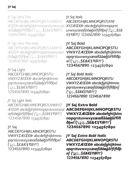JY Saj Ultra Thin

ABCDEFGHIJKLMNOPQRSTUVWXYZ ÆŒÐÞ abcdefghijklmnopqrstuvwxyzæ œßäåøğōřfiflðþĸſ ('¡¿:;.,\$£&€§₹@?!') 1234567890 1234567890

*JY Saj Ultra Thin Italic ABCDEFGHIJKLMNOPQRSTUVWXYZ ÆŒÐÞ abcdefghijklmnopqrstuvwxyzæœ ßäåøğōřfiflðþĸſ ('¡¿:;.,\$£&€§₹@?!') 1234567890 1234567890*

JY Saj Light ABCDEFGHIJKLMNOPQRSTU VWXYZÆŒÐÞ abcdefghijklmno pqrstuvwxyzæœßäåøğōřfiflðþĸſ ('¡¿:;.,\$£&€§₹@?!') 1234567890 1234567890

*JY Saj Light Italic ABCDEFGHIJKLMNOPQRSTUVWXYZ ÆŒÐÞ abcdefghijklmnopqrstuvwxyzæ œßäåøğōřfiflðþĸſ ('¡¿:;.,\$£&€§₹@?!') 1234567890 1234567890*

#### JY Saj

ABCDEFGHIJKLMNOPQRSTU VWXYZÆŒÐÞ abcdefghijklmno pqrstuvwxyzæœßäåøğōřfiflðþĸſ ('¡¿:;.,\$£&€§₹@?!') 1234567890 1234567890

*JY Saj Italic*

*ABCDEFGHIJKLMNOPQRSTUVW XYZÆŒÐÞ abcdefghijklmnopqrst uvwxyzæœßäåøğōřfiflðþĸſ ('¡¿:;.,\$£& €§₹@?!') 1234567890 1234567890*

#### **JY Saj Bold**

**ABCDEFGHIJKLMNOPQRSTU VWXYZÆŒÐÞ abcdefghijklmn opqrstuvwxyzæœßäåøğōřfiflðþ ĸſ ('¡¿:;.,\$£&€§₹@?!') 1234567890 1234567890**

*JY Saj Bold Italic ABCDEFGHIJKLMNOPQRSTU VWXYZÆŒÐÞ abcdefghijklmno pqrstuvwxyzæœßäåøğōřfiflðþĸſ ('¡¿:;.,\$£&€§₹@?!') 1234567890 1234567890*

**JY Saj Extra Bold ABCDEFGHIJKLMNOPQRSTU VWXYZÆŒÐÞ abcdefghijklm nopqrstuvwxyzæœßäåøğōřfifl ðþĸſ ('¡¿:;.,\$£&€§₹@?!') 1234567890 1234567890**

*JY Saj Extra Bold Italic ABCDEFGHIJKLMNOPQRSTU VWXYZÆŒÐÞ abcdefghijklmn opqrstuvwxyzæœßäåøğōřfiflðþ ĸſ ('¡¿:;.,\$£&€§₹@?!') 1234567890 1234567890*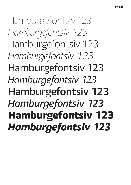Hamburgefontsiv 123 *Hamburgefontsiv 123* Hamburgefontsiv 123 *Hamburgefontsiv 123* Hamburgefontsiv 123 *Hamburgefontsiv 123* **Hamburgefontsiv 123** *Hamburgefontsiv 123* **Hamburgefontsiv 123** *Hamburgefontsiv 123*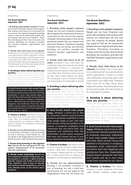#### JY Saj 9/10 pt

#### **The Brand Manifesto** *September 2002*

**1. Branding unites people's passions.** People are not born financial creatures. We recognize that revenue and returns on investment do not concern the majority of people. Branding respects that we are passionate people who are inspired and who have freedom. Therefore, branding activities must be human and humane. Branding, not numbers, provides the interface between organizations and audiences.

**2. Brands must have focus to be relevant.**  Branding is not a mere gloss but something that must penetrate the whole organization. If there is a corporate philosophy, everything about that corporation must reflect that. Therefore, there must not be false claims about helping the planet. The philosophy must be focused enough and real enough to be meaningful to people.

**3. Branding is about delivering what you promise.** We believe that every claim the organization makes must be sincere and must be carried out. The strongest brands are promise-keeping ones. Failing to do so leads to an embarrassing exposé. Good branding leads to sincerity while failure to use branding principles leads to collapse.

**4. Good brands should make people happy.**  Whatever a brand has to offer to consumers *(whether purely functional, emotional, associative, empathetic)*, it must make people happy to part with their *(hard earned)* money and satisfied in the process. A company's employees must understand this and derive their own happiness and satisfaction from this. Shareholders should reward companies that have such brands and we in turn must create them sincerely for our clients.

**5. Finance is broken.** We believe money is a poor snapshot of human value. Brands, however, create value. The branding industry is about creating value for our customers. It makes more sense to measure the ingredients of branding and relationships.

**6. Brands are not advertisements.** *Branding is not promotion. Promotion is part of branding, but only a small part.* Good brands act, not just speak or sell. Organizations must live the brand, not just in advertising and promotions.

*7. Brands bring humanity to the organization.* **Brands are the rallying-point for the positive empowerment of all connected with the organization.**

**8. Brands create community. Brands are not created by a handful of big bosses, but by everyone in a system. A good branding exercise involves and builds a community. They, therefore, have a duty to educate and reinforce positive behaviours, and can**  even alleviate some of the world's worst **problems.**

#### JY Saj 10/12 pt

#### **The Brand Manifesto** *September 2002*

**1. Branding unites people's passions.**  People are not born financial creatures. We recognize that revenue and returns on investment do not concern the majority of people. Branding respects that we are passionate people who are inspired and who have freedom. Therefore, branding activities must be human and humane. Branding, not numbers, provides the interface between organizations and audiences.

**2. Brands must have focus to be relevant.** Branding is not a mere gloss but something that must penetrate the whole organization. If there is a corporate philosophy, everything about that corporation must reflect that. Therefore, there must not be false claims about helping the planet. The philosophy must be focused enough and real enough to be meaningful to people.

**3. Branding is about delivering what you promise.** We believe that every claim the organization makes must be sincere and must be carried out. The strongest brands are promise-keeping ones. Failing to do so leads to an embarrassing exposé. Good branding leads to sincerity while failure to use branding principles leads to collapse.

**4. Good brands should make people happy.** Whatever a brand has to offer to consumers *(whether purely functional, emotional, associative, empathetic)*, it must make people happy to part with their *(hard earned)* money and satisfied in the process. A company's employees must understand this and derive their own happiness and satisfaction from this. Shareholders should reward companies that have such brands and we in turn must create them sincerely for our clients.

**5. Finance is broken.** We believe money is a poor snapshot of human value. Brands, however, create value. The branding industry is about creating value for our customers. It makes more sense to measure the ingredients of branding and relationships.

**6. Brands are not advertisements.**  *Branding is not promotion. Promotion is part of branding, but only a small part.* Good brands act, not just speak or sell. Organizations must live the brand, not

#### JY Saj 10/12 pt

#### **The Brand Manifesto** *September 2002*

**1. Branding unites people's passions.**  People are not born financial creatures. We recognize that revenue and returns on investment do not concern the majority of people. Branding respects that we are passionate people who are inspired and who have freedom. Therefore, branding activities must be human and humane. Branding, not numbers, provides the interface between organizations and audiences.

**2. Brands must have focus to be relevant.** Branding is not a mere gloss but something that must penetrate the whole organization. If there is a corporate philosophy, everything about that corporation must reflect that. Therefore, there must not be false claims about helping the planet. The philosophy must be focused enough and real enough to be meaningful to people.

**3. Branding is about delivering what you promise.** We believe that every claim the organization makes must be sincere and must be carried out. The strongest brands are promise-keeping ones. Failing to do so leads to an embarrassing exposé. Good branding leads to sincerity while failure to use branding principles leads to collapse.

**4. Good brands should make people happy.** Whatever a brand has to offer to consumers *(whether purely functional, emotional, associative, empathetic)*, it must make people happy to part with their *(hard earned)* money and satisfied in the process. A company's employees must understand this and derive their own happiness and satisfaction from this. Shareholders should reward companies that have such brands and we in turn must create them sincerely for our clients.

**5. Finance is broken.** We believe money is a poor snapshot of human value. Brands, however, create value.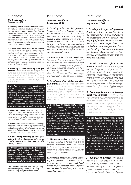JY Saj Italic 9/10 pt

#### *The Brand Manifesto* **September 2002**

*1. Branding unites people's passions. People are not born financial creatures. We recognize that revenue and returns on investment do not concern the majority of people. Branding respects that we are passionate people who are inspired and who have freedom. Therefore, branding activities must be human and humane. Branding, not numbers, provides the interface between organizations and audiences.*

*2. Brands must have focus to be relevant. Branding is not a mere gloss but something that must penetrate the whole organization. If there is a corporate philosophy, everything about that corporation must reflect that. Therefore, there must not be false claims about helping the planet. The philosophy must be focused enough and real enough to be meaningful to people.*

*3. Branding is about delivering what you promise. We believe that every claim the organization makes must be sincere and must be carried out. The strongest brands are promise-keeping ones. Failing to do so leads to an embarrassing exposé. Good branding leads to sincerity while failure to use branding principles leads to collapse.*

*4. Good brands should make people happy. Whatever a brand has to offer to consumers (whether purely functional, emotional, associative, empathetic), it must make people happy to part with their* (hard earned) *money and satisfied in the process. A company's employees must understand this and derive their own happiness and satisfaction from this. Shareholders should reward companies that have such brands and we in turn must create them sincerely for our clients.* 

*5. Finance is broken. We believe money is a poor snapshot of human value. Brands, however, create value. The branding industry is about creating value for our customers. It makes more sense to measure the ingredients of branding and relationships.*

*6. Brands are not advertisements.* Branding is not promotion. Promotion is part of branding, but only a small part. *Good brands act, not just speak or sell. Organizations must live the brand, not just in advertising and promotions.*

**7. Brands bring humanity to the organization.** *Brands are the rallying-point for the positive empowerment of all connected with the organization.*

*8. Brands create community. Brands are not created by a handful of big bosses, but by everyone in a system. A good branding exercise involves and builds a community. They, therefore, have a duty to educate and reinforce positive behaviours, and can even alleviate some of the world's worst problems.*

'The Brand Manifesto' text from Medinge Group (http://medinge.org). Copyright ©2002 by Medinge Group. All rights reserved. E&OE.

JY Saj Italic 10/12 pt

#### *The Brand Manifesto* **September 2002**

*1. Branding unites people's passions. People are not born financial creatures. We recognize that revenue and returns on investment do not concern the majority of people. Branding respects that we are passionate people who are inspired and who have freedom. Therefore, branding activities must be human and humane. Branding, not numbers, provides the interface between organizations and audiences.*

*2. Brands must have focus to be relevant. Branding is not a mere gloss but something that must penetrate the whole organization. If there is a corporate philosophy, everything about that corporation must reflect that. Therefore, there must not be false claims about helping the planet. The philosophy must be focused enough and real enough to be meaningful to people.*

*3. Branding is about delivering what you promise. We believe that every claim the organization makes must be sincere and must be carried out. The strongest brands are promise-keeping ones. Failing to do so leads to an embarrassing exposé. Good branding leads to sincerity while failure to use branding principles leads to collapse.*

*4. Good brands should make people happy. Whatever a brand has to offer to consumers (whether purely functional, emotional, associative, empathetic), it must make people happy to part with their* (hard earned) *money and satisfied in the process. A company's employees must understand this and derive their own happiness and satisfaction from this. Shareholders should reward companies that have such brands and we in turn must create them sincerely for our clients.* 

*5. Finance is broken. We believe money is a poor snapshot of human value. Brands, however, create value. The branding industry is about creating value for our customers. It makes more sense to measure the ingredients of branding and relationships.*

*6. Brands are not advertisements.* Branding is not promotion. Promotion is part of branding, but only a small part. *Good brands act, not just speak or sell. Organizations must live the brand, not just in advertising and promotions.*

JY Saj Italic 11/13 pt

#### *The Brand Manifesto* **September 2002**

*1. Branding unites people's passions. People are not born financial creatures. We recognize that revenue and returns on investment do not concern the majority of people. Branding respects that we are passionate people who are inspired and who have freedom. Therefore, branding activities must be human and humane. Branding, not numbers, provides the interface between organizations and audiences.*

*2. Brands must have focus to be relevant. Branding is not a mere gloss but something that must penetrate the whole organization. If there is a corporate philosophy, everything about that corporation must reflect that. Therefore, there must not be false claims about helping the planet. The philosophy must be focused enough and real enough to be meaningful to people.*

*3. Branding is about delivering what you promise. We believe that every claim the organization makes must be sincere and must be carried out. The strongest brands are promise-keeping ones. Failing to do so leads to an embarrassing exposé. Good branding leads to sincerity while failure to use branding principles leads to collapse.*

*4. Good brands should make people happy. Whatever a brand has to offer to consumers (whether purely functional, emotional, associative, empathetic), it must make people happy to part with their* (hard earned) *money and satisfied in the process. A company's employees must understand this and derive their own happiness and satisfaction from this. Shareholders should reward companies that have such brands and we in turn must create them sincerely for our clients.* 

*5. Finance is broken. We believe money is a poor snapshot of human value. Brands, however, create value. The branding industry is about creating value for our customers. It makes more sense to measure the ingredients of branding and*